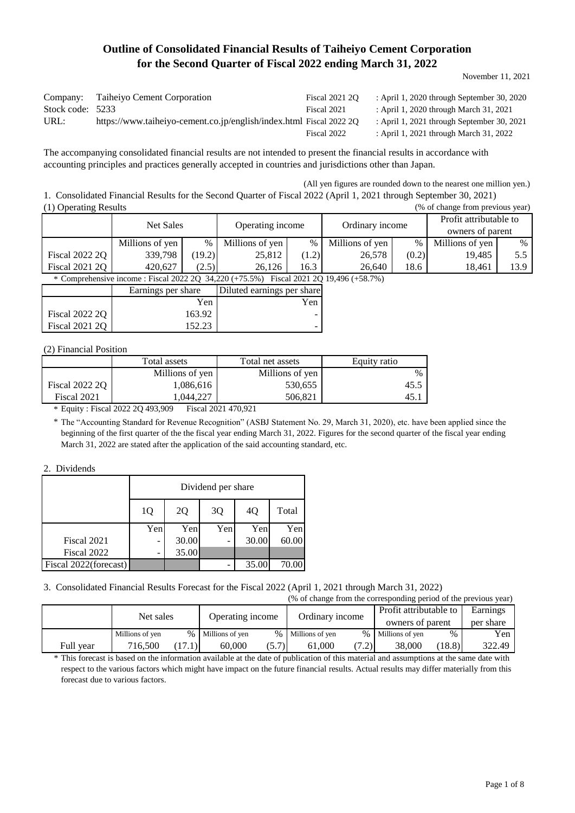# **Outline of Consolidated Financial Results of Taiheiyo Cement Corporation for the Second Quarter of Fiscal 2022 ending March 31, 2022**

November 11, 2021

| Company:         | Taiheiyo Cement Corporation                                         | <b>Fiscal 2021 20</b> | : April 1, 2020 through September 30, 2020 |
|------------------|---------------------------------------------------------------------|-----------------------|--------------------------------------------|
| Stock code: 5233 |                                                                     | Fiscal 2021           | : April 1, 2020 through March 31, 2021     |
| URL:             | https://www.taiheiyo-cement.co.jp/english/index.html Fiscal 2022 2Q |                       | : April 1, 2021 through September 30, 2021 |
|                  |                                                                     | Fiscal 2022           | : April 1, 2021 through March 31, 2022     |

The accompanying consolidated financial results are not intended to present the financial results in accordance with accounting principles and practices generally accepted in countries and jurisdictions other than Japan.

(All yen figures are rounded down to the nearest one million yen.)

1. Consolidated Financial Results for the Second Quarter of Fiscal 2022 (April 1, 2021 through September 30, 2021) (1) Operating Results (% of change from previous year)

| $\sim$ $\sim$ $\sim$  |                                                                                        |                                                  |                  |       |                 |       |                        |      |  |
|-----------------------|----------------------------------------------------------------------------------------|--------------------------------------------------|------------------|-------|-----------------|-------|------------------------|------|--|
|                       | <b>Net Sales</b>                                                                       |                                                  | Operating income |       | Ordinary income |       | Profit attributable to |      |  |
|                       |                                                                                        |                                                  |                  |       |                 |       | owners of parent       |      |  |
|                       | Millions of yen                                                                        | $\%$                                             | Millions of yen  | $\%$  | Millions of yen | $\%$  | Millions of yen        | $\%$ |  |
| <b>Fiscal 2022 2Q</b> | 339,798                                                                                | (19.2)                                           | 25,812           | (1.2) | 26,578          | (0.2) | 19,485                 | 5.5  |  |
| <b>Fiscal 2021 2Q</b> | 420,627                                                                                | (2.5)                                            | 26.126           | 16.3  | 26,640          | 18.6  | 18,461                 | 13.9 |  |
|                       | * Comprehensive income : Fiscal 2022 2Q 34,220 (+75.5%) Fiscal 2021 2Q 19,496 (+58.7%) |                                                  |                  |       |                 |       |                        |      |  |
|                       |                                                                                        | Diluted earnings per share<br>Earnings per share |                  |       |                 |       |                        |      |  |
|                       |                                                                                        | Yen                                              | Yen              |       |                 |       |                        |      |  |
| Fiscal 2022 2Q        |                                                                                        | 163.92                                           |                  |       |                 |       |                        |      |  |

- 1990 - 1990 - 1990 - 1990 - 1990 - 1990 - 1990 - 1990 - 1990 - 1990 - 1990 - 1990 - 1990 - 1990 - 1990 - 199

#### (2) Financial Position

Fiscal 2021 2Q

|                | Total assets    | Total net assets | Equity ratio |
|----------------|-----------------|------------------|--------------|
|                | Millions of yen | Millions of yen  | $\%$         |
| Fiscal 2022 20 | 1.086.616       | 530,655          | 45.          |
| Fiscal 2021    | 1.044.227       | 506.821          | 45.          |

152.23

\* Equity : Fiscal 2022 2Q 493,909 Fiscal 2021 470,921

\* The "Accounting Standard for Revenue Recognition" (ASBJ Statement No. 29, March 31, 2020), etc. have been applied since the beginning of the first quarter of the the fiscal year ending March 31, 2022. Figures for the second quarter of the fiscal year ending March 31, 2022 are stated after the application of the said accounting standard, etc.

#### 2. Dividends

|                       | Dividend per share |       |     |       |       |  |  |
|-----------------------|--------------------|-------|-----|-------|-------|--|--|
|                       | 1Q                 | 2Q    | 3Q  | 4Q    | Total |  |  |
|                       | Yen                | Yen   | Yen | Yen   | Yen   |  |  |
| Fiscal 2021           | -                  | 30.00 | -   | 30.00 | 60.00 |  |  |
| Fiscal 2022           |                    | 35.00 |     |       |       |  |  |
| Fiscal 2022(forecast) |                    |       |     | 35.00 | 70.00 |  |  |

# 3. Consolidated Financial Results Forecast for the Fiscal 2022 (April 1, 2021 through March 31, 2022)

|           |                 |      |                  |       | (% of change from the corresponding period of the previous year) |       |                                            |        |           |
|-----------|-----------------|------|------------------|-------|------------------------------------------------------------------|-------|--------------------------------------------|--------|-----------|
|           | Net sales       |      | Operating income |       | Ordinary income                                                  |       | Profit attributable to<br>owners of parent |        | Earnings  |
|           |                 |      |                  |       |                                                                  |       |                                            |        | per share |
|           | Millions of yen | $\%$ | Millions of yen  |       | % Millions of yen                                                |       | % Millions of yen                          | $\%$   | Yen       |
| Full year | 716.500         |      | 60,000           | (5.7) | 61,000                                                           | (7.2) | 38,000                                     | (18.8) | 322.49    |

This forecast is based on the information available at the date of publication of this material and assumptions at the same date with \* respect to the various factors which might have impact on the future financial results. Actual results may differ materially from this forecast due to various factors.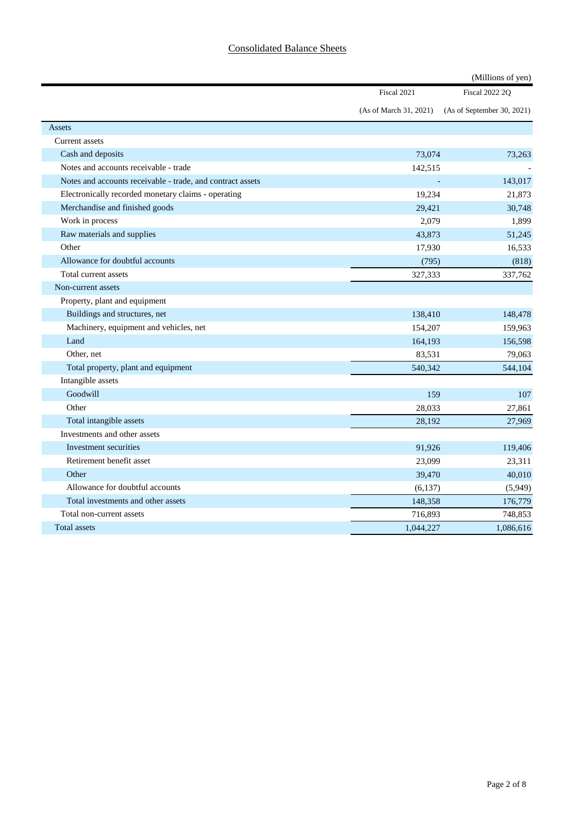## Consolidated Balance Sheets

|                                                            |                          | (Millions of yen)          |
|------------------------------------------------------------|--------------------------|----------------------------|
|                                                            | Fiscal 2021              | <b>Fiscal 2022 2Q</b>      |
|                                                            | (As of March 31, 2021)   | (As of September 30, 2021) |
| <b>Assets</b>                                              |                          |                            |
| Current assets                                             |                          |                            |
| Cash and deposits                                          | 73,074                   | 73,263                     |
| Notes and accounts receivable - trade                      | 142,515                  |                            |
| Notes and accounts receivable - trade, and contract assets | $\overline{\phantom{a}}$ | 143,017                    |
| Electronically recorded monetary claims - operating        | 19,234                   | 21,873                     |
| Merchandise and finished goods                             | 29,421                   | 30,748                     |
| Work in process                                            | 2,079                    | 1,899                      |
| Raw materials and supplies                                 | 43,873                   | 51,245                     |
| Other                                                      | 17,930                   | 16,533                     |
| Allowance for doubtful accounts                            | (795)                    | (818)                      |
| Total current assets                                       | 327,333                  | 337,762                    |
| Non-current assets                                         |                          |                            |
| Property, plant and equipment                              |                          |                            |
| Buildings and structures, net                              | 138,410                  | 148,478                    |
| Machinery, equipment and vehicles, net                     | 154,207                  | 159,963                    |
| Land                                                       | 164,193                  | 156,598                    |
| Other, net                                                 | 83,531                   | 79,063                     |
| Total property, plant and equipment                        | 540,342                  | 544,104                    |
| Intangible assets                                          |                          |                            |
| Goodwill                                                   | 159                      | 107                        |
| Other                                                      | 28,033                   | 27,861                     |
| Total intangible assets                                    | 28,192                   | 27,969                     |
| Investments and other assets                               |                          |                            |
| Investment securities                                      | 91,926                   | 119,406                    |
| Retirement benefit asset                                   | 23,099                   | 23,311                     |
| Other                                                      | 39,470                   | 40,010                     |
| Allowance for doubtful accounts                            | (6, 137)                 | (5,949)                    |
| Total investments and other assets                         | 148,358                  | 176,779                    |
| Total non-current assets                                   | 716,893                  | 748,853                    |
| <b>Total assets</b>                                        | 1,044,227                | 1,086,616                  |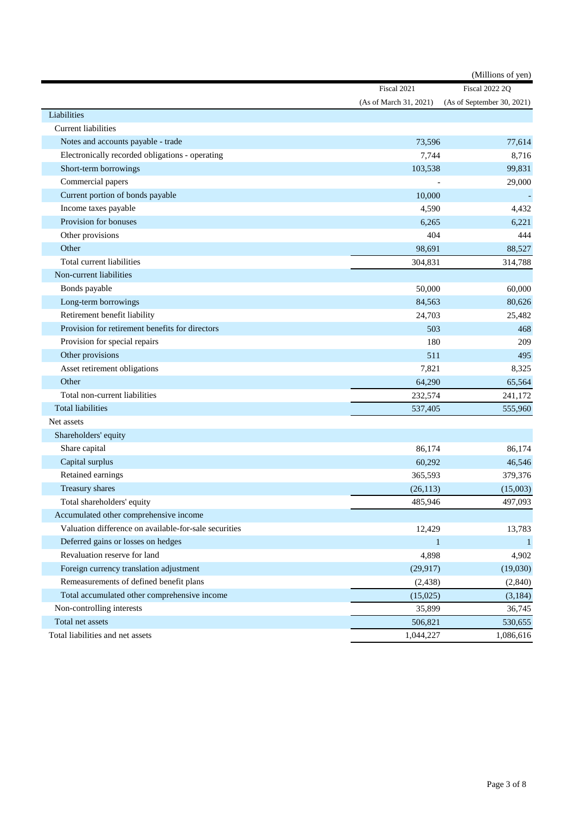|                                                       |                        | (Millions of yen)          |
|-------------------------------------------------------|------------------------|----------------------------|
|                                                       | Fiscal 2021            | <b>Fiscal 2022 2Q</b>      |
|                                                       | (As of March 31, 2021) | (As of September 30, 2021) |
| Liabilities                                           |                        |                            |
| <b>Current liabilities</b>                            |                        |                            |
| Notes and accounts payable - trade                    | 73,596                 | 77,614                     |
| Electronically recorded obligations - operating       | 7,744                  | 8,716                      |
| Short-term borrowings                                 | 103,538                | 99,831                     |
| Commercial papers                                     |                        | 29,000                     |
| Current portion of bonds payable                      | 10.000                 |                            |
| Income taxes payable                                  | 4,590                  | 4,432                      |
| Provision for bonuses                                 | 6,265                  | 6,221                      |
| Other provisions                                      | 404                    | 444                        |
| Other                                                 | 98,691                 | 88,527                     |
| Total current liabilities                             | 304,831                | 314,788                    |
| Non-current liabilities                               |                        |                            |
| Bonds payable                                         | 50,000                 | 60,000                     |
| Long-term borrowings                                  | 84,563                 | 80,626                     |
| Retirement benefit liability                          | 24,703                 | 25,482                     |
| Provision for retirement benefits for directors       | 503                    | 468                        |
| Provision for special repairs                         | 180                    | 209                        |
| Other provisions                                      | 511                    | 495                        |
| Asset retirement obligations                          | 7,821                  | 8,325                      |
| Other                                                 | 64,290                 | 65,564                     |
| Total non-current liabilities                         | 232,574                | 241,172                    |
| <b>Total liabilities</b>                              | 537,405                | 555,960                    |
| Net assets                                            |                        |                            |
| Shareholders' equity                                  |                        |                            |
| Share capital                                         | 86,174                 | 86,174                     |
| Capital surplus                                       | 60,292                 | 46,546                     |
| Retained earnings                                     | 365,593                | 379,376                    |
| Treasury shares                                       | (26, 113)              | (15,003)                   |
| Total shareholders' equity                            | 485,946                | 497,093                    |
| Accumulated other comprehensive income                |                        |                            |
| Valuation difference on available-for-sale securities | 12,429                 | 13,783                     |
| Deferred gains or losses on hedges                    | $\mathbf{1}$           | $\mathbf{1}$               |
| Revaluation reserve for land                          | 4,898                  | 4,902                      |
| Foreign currency translation adjustment               | (29, 917)              | (19,030)                   |
| Remeasurements of defined benefit plans               | (2, 438)               | (2,840)                    |
| Total accumulated other comprehensive income          | (15,025)               | (3,184)                    |
| Non-controlling interests                             | 35,899                 | 36,745                     |
| Total net assets                                      | 506,821                | 530,655                    |
| Total liabilities and net assets                      | 1,044,227              | 1,086,616                  |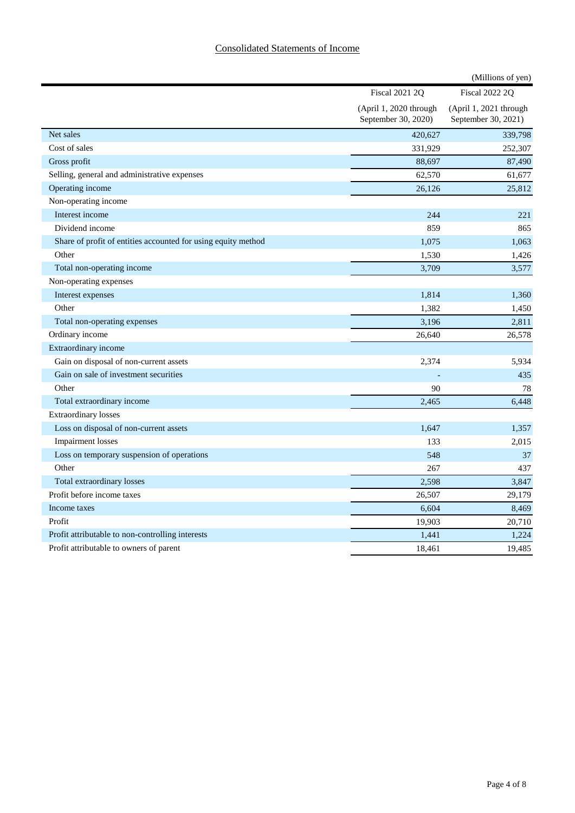## Consolidated Statements of Income

|                                                               |                                               | (Millions of yen)                             |
|---------------------------------------------------------------|-----------------------------------------------|-----------------------------------------------|
|                                                               | <b>Fiscal 2021 2Q</b>                         | <b>Fiscal 2022 2Q</b>                         |
|                                                               | (April 1, 2020 through<br>September 30, 2020) | (April 1, 2021 through<br>September 30, 2021) |
| Net sales                                                     | 420,627                                       | 339,798                                       |
| Cost of sales                                                 | 331,929                                       | 252,307                                       |
| Gross profit                                                  | 88,697                                        | 87,490                                        |
| Selling, general and administrative expenses                  | 62,570                                        | 61,677                                        |
| Operating income                                              | 26,126                                        | 25,812                                        |
| Non-operating income                                          |                                               |                                               |
| Interest income                                               | 244                                           | 221                                           |
| Dividend income                                               | 859                                           | 865                                           |
| Share of profit of entities accounted for using equity method | 1,075                                         | 1,063                                         |
| Other                                                         | 1,530                                         | 1,426                                         |
| Total non-operating income                                    | 3,709                                         | 3,577                                         |
| Non-operating expenses                                        |                                               |                                               |
| Interest expenses                                             | 1,814                                         | 1,360                                         |
| Other                                                         | 1,382                                         | 1,450                                         |
| Total non-operating expenses                                  | 3,196                                         | 2,811                                         |
| Ordinary income                                               | 26,640                                        | 26,578                                        |
| Extraordinary income                                          |                                               |                                               |
| Gain on disposal of non-current assets                        | 2,374                                         | 5,934                                         |
| Gain on sale of investment securities                         |                                               | 435                                           |
| Other                                                         | 90                                            | 78                                            |
| Total extraordinary income                                    | 2,465                                         | 6,448                                         |
| <b>Extraordinary losses</b>                                   |                                               |                                               |
| Loss on disposal of non-current assets                        | 1,647                                         | 1,357                                         |
| Impairment losses                                             | 133                                           | 2,015                                         |
| Loss on temporary suspension of operations                    | 548                                           | 37                                            |
| Other                                                         | 267                                           | 437                                           |
| Total extraordinary losses                                    | 2,598                                         | 3,847                                         |
| Profit before income taxes                                    | 26,507                                        | 29,179                                        |
| Income taxes                                                  | 6,604                                         | 8,469                                         |
| Profit                                                        | 19,903                                        | 20,710                                        |
| Profit attributable to non-controlling interests              | 1,441                                         | 1,224                                         |
| Profit attributable to owners of parent                       | 18,461                                        | 19,485                                        |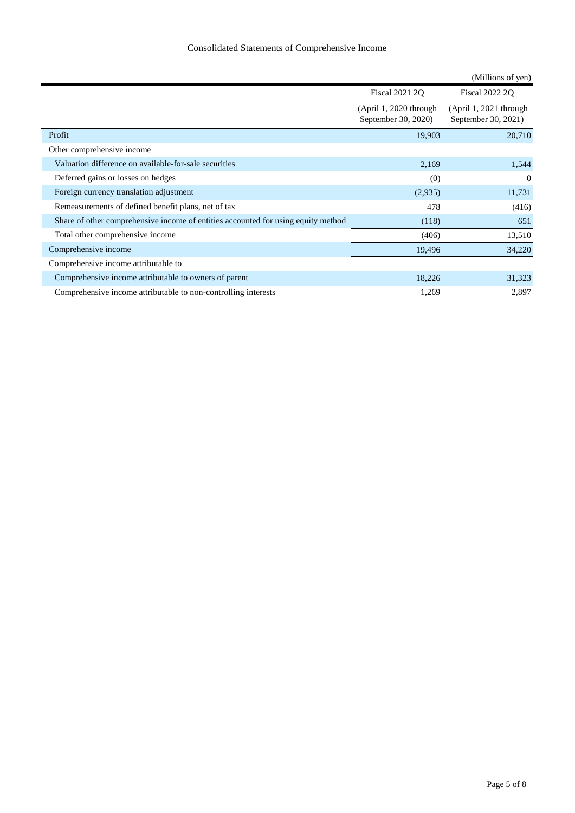## Consolidated Statements of Comprehensive Income

|                                                                                   |                                               | (Millions of yen)                             |
|-----------------------------------------------------------------------------------|-----------------------------------------------|-----------------------------------------------|
|                                                                                   | <b>Fiscal 2021 2Q</b>                         | <b>Fiscal 2022 2Q</b>                         |
|                                                                                   | $(Apri1, 2020$ through<br>September 30, 2020) | $(Apri1, 2021$ through<br>September 30, 2021) |
| Profit                                                                            | 19,903                                        | 20,710                                        |
| Other comprehensive income                                                        |                                               |                                               |
| Valuation difference on available-for-sale securities                             | 2,169                                         | 1,544                                         |
| Deferred gains or losses on hedges                                                | (0)                                           | $\theta$                                      |
| Foreign currency translation adjustment                                           | (2,935)                                       | 11,731                                        |
| Remeasurements of defined benefit plans, net of tax                               | 478                                           | (416)                                         |
| Share of other comprehensive income of entities accounted for using equity method | (118)                                         | 651                                           |
| Total other comprehensive income                                                  | (406)                                         | 13,510                                        |
| Comprehensive income                                                              | 19,496                                        | 34,220                                        |
| Comprehensive income attributable to                                              |                                               |                                               |
| Comprehensive income attributable to owners of parent                             | 18,226                                        | 31,323                                        |
| Comprehensive income attributable to non-controlling interests                    | 1,269                                         | 2,897                                         |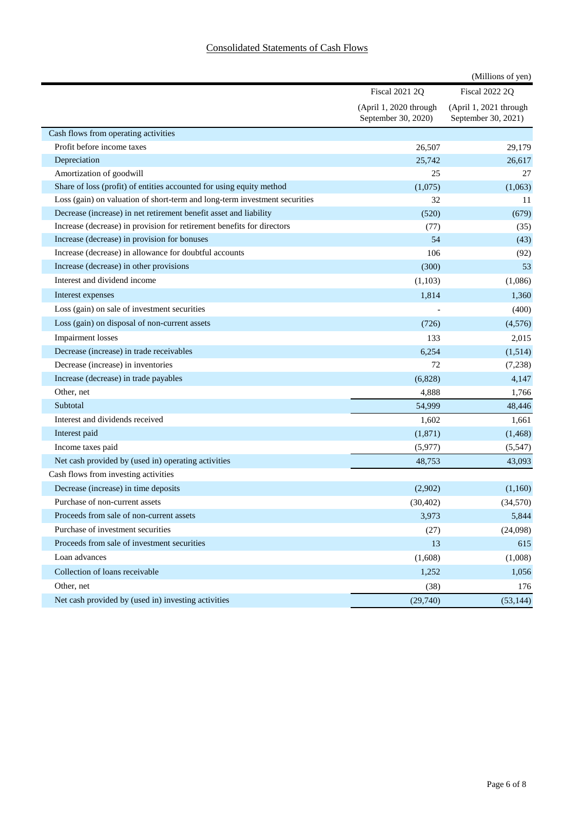|                                                                            |                                               | (Millions of yen)                             |
|----------------------------------------------------------------------------|-----------------------------------------------|-----------------------------------------------|
|                                                                            | <b>Fiscal 2021 2Q</b>                         | <b>Fiscal 2022 2Q</b>                         |
|                                                                            | (April 1, 2020 through<br>September 30, 2020) | (April 1, 2021 through<br>September 30, 2021) |
| Cash flows from operating activities                                       |                                               |                                               |
| Profit before income taxes                                                 | 26,507                                        | 29,179                                        |
| Depreciation                                                               | 25,742                                        | 26,617                                        |
| Amortization of goodwill                                                   | 25                                            | 27                                            |
| Share of loss (profit) of entities accounted for using equity method       | (1,075)                                       | (1,063)                                       |
| Loss (gain) on valuation of short-term and long-term investment securities | 32                                            | 11                                            |
| Decrease (increase) in net retirement benefit asset and liability          | (520)                                         | (679)                                         |
| Increase (decrease) in provision for retirement benefits for directors     | (77)                                          | (35)                                          |
| Increase (decrease) in provision for bonuses                               | 54                                            | (43)                                          |
| Increase (decrease) in allowance for doubtful accounts                     | 106                                           | (92)                                          |
| Increase (decrease) in other provisions                                    | (300)                                         | 53                                            |
| Interest and dividend income                                               | (1,103)                                       | (1,086)                                       |
| Interest expenses                                                          | 1,814                                         | 1,360                                         |
| Loss (gain) on sale of investment securities                               |                                               | (400)                                         |
| Loss (gain) on disposal of non-current assets                              | (726)                                         | (4,576)                                       |
| Impairment losses                                                          | 133                                           | 2,015                                         |
| Decrease (increase) in trade receivables                                   | 6,254                                         | (1,514)                                       |
| Decrease (increase) in inventories                                         | 72                                            | (7,238)                                       |
| Increase (decrease) in trade payables                                      | (6,828)                                       | 4,147                                         |
| Other, net                                                                 | 4,888                                         | 1,766                                         |
| Subtotal                                                                   | 54,999                                        | 48,446                                        |
| Interest and dividends received                                            | 1,602                                         | 1,661                                         |
| Interest paid                                                              | (1, 871)                                      | (1, 468)                                      |
| Income taxes paid                                                          | (5,977)                                       | (5,547)                                       |
| Net cash provided by (used in) operating activities                        | 48,753                                        | 43,093                                        |
| Cash flows from investing activities                                       |                                               |                                               |
| Decrease (increase) in time deposits                                       | (2,902)                                       | (1,160)                                       |
| Purchase of non-current assets                                             | (30, 402)                                     | (34,570)                                      |
| Proceeds from sale of non-current assets                                   | 3,973                                         | 5,844                                         |
| Purchase of investment securities                                          | (27)                                          | (24,098)                                      |
| Proceeds from sale of investment securities                                | 13                                            | 615                                           |
| Loan advances                                                              | (1,608)                                       | (1,008)                                       |
| Collection of loans receivable                                             | 1,252                                         | 1,056                                         |
| Other, net                                                                 | (38)                                          | 176                                           |
| Net cash provided by (used in) investing activities                        | (29,740)                                      | (53, 144)                                     |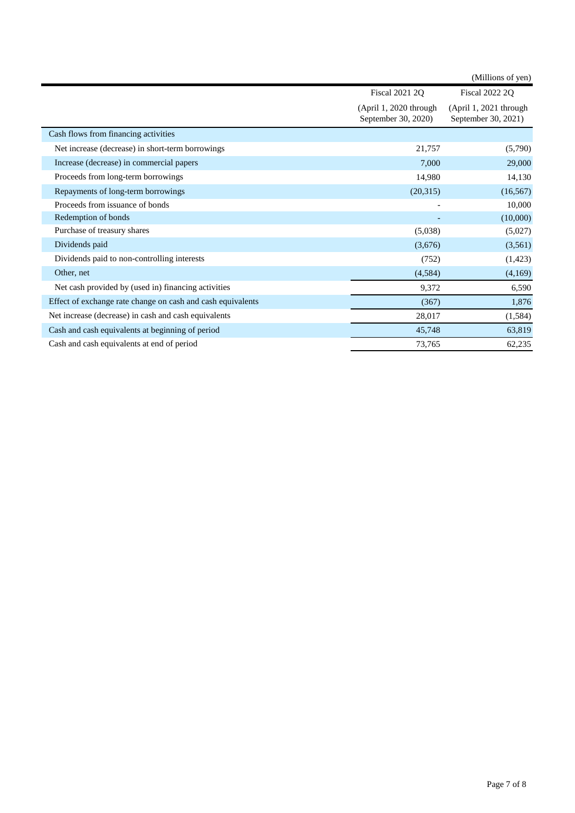|                                                             |                                               | (Millions of yen)                             |
|-------------------------------------------------------------|-----------------------------------------------|-----------------------------------------------|
|                                                             | Fiscal 2021 2Q                                | <b>Fiscal 2022 2Q</b>                         |
|                                                             | (April 1, 2020 through<br>September 30, 2020) | (April 1, 2021 through<br>September 30, 2021) |
| Cash flows from financing activities                        |                                               |                                               |
| Net increase (decrease) in short-term borrowings            | 21,757                                        | (5,790)                                       |
| Increase (decrease) in commercial papers                    | 7,000                                         | 29,000                                        |
| Proceeds from long-term borrowings                          | 14,980                                        | 14,130                                        |
| Repayments of long-term borrowings                          | (20,315)                                      | (16, 567)                                     |
| Proceeds from issuance of bonds                             |                                               | 10,000                                        |
| Redemption of bonds                                         |                                               | (10,000)                                      |
| Purchase of treasury shares                                 | (5,038)                                       | (5,027)                                       |
| Dividends paid                                              | (3,676)                                       | (3,561)                                       |
| Dividends paid to non-controlling interests                 | (752)                                         | (1,423)                                       |
| Other, net                                                  | (4,584)                                       | (4,169)                                       |
| Net cash provided by (used in) financing activities         | 9,372                                         | 6,590                                         |
| Effect of exchange rate change on cash and cash equivalents | (367)                                         | 1,876                                         |
| Net increase (decrease) in cash and cash equivalents        | 28,017                                        | (1,584)                                       |
| Cash and cash equivalents at beginning of period            | 45,748                                        | 63,819                                        |
| Cash and cash equivalents at end of period                  | 73,765                                        | 62,235                                        |